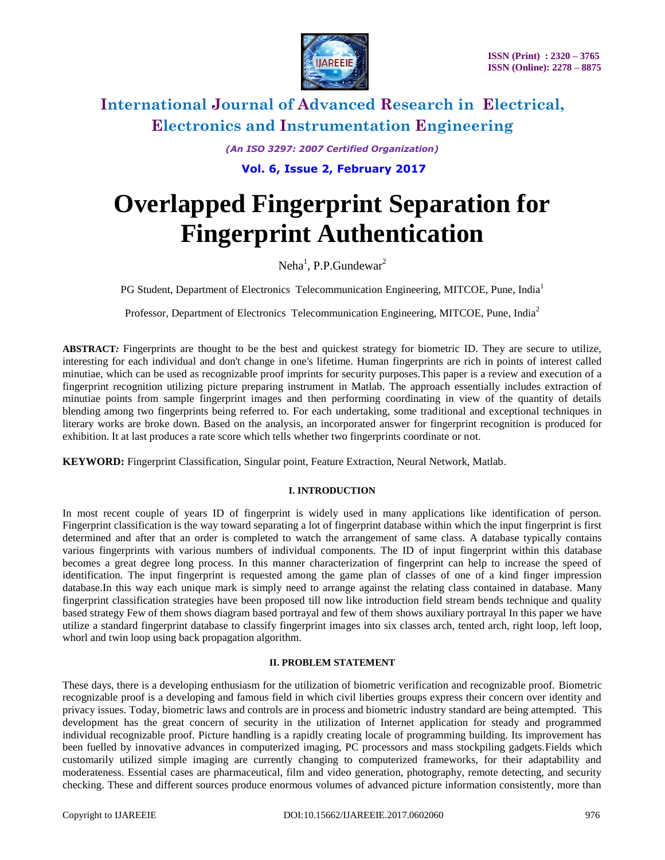

*(An ISO 3297: 2007 Certified Organization)*

**Vol. 6, Issue 2, February 2017**

# **Overlapped Fingerprint Separation for Fingerprint Authentication**

Neha<sup>1</sup>, P.P.Gundewar<sup>2</sup>

PG Student, Department of Electronics Telecommunication Engineering, MITCOE, Pune, India<sup>1</sup>

Professor, Department of Electronics Telecommunication Engineering, MITCOE, Pune, India<sup>2</sup>

**ABSTRACT***:* Fingerprints are thought to be the best and quickest strategy for biometric ID. They are secure to utilize, interesting for each individual and don't change in one's lifetime. Human fingerprints are rich in points of interest called minutiae, which can be used as recognizable proof imprints for security purposes.This paper is a review and execution of a fingerprint recognition utilizing picture preparing instrument in Matlab. The approach essentially includes extraction of minutiae points from sample fingerprint images and then performing coordinating in view of the quantity of details blending among two fingerprints being referred to. For each undertaking, some traditional and exceptional techniques in literary works are broke down. Based on the analysis, an incorporated answer for fingerprint recognition is produced for exhibition. It at last produces a rate score which tells whether two fingerprints coordinate or not.

**KEYWORD:** Fingerprint Classification, Singular point, Feature Extraction, Neural Network, Matlab.

### **I. INTRODUCTION**

In most recent couple of years ID of fingerprint is widely used in many applications like identification of person. Fingerprint classification is the way toward separating a lot of fingerprint database within which the input fingerprint is first determined and after that an order is completed to watch the arrangement of same class. A database typically contains various fingerprints with various numbers of individual components. The ID of input fingerprint within this database becomes a great degree long process. In this manner characterization of fingerprint can help to increase the speed of identification. The input fingerprint is requested among the game plan of classes of one of a kind finger impression database.In this way each unique mark is simply need to arrange against the relating class contained in database. Many fingerprint classification strategies have been proposed till now like introduction field stream bends technique and quality based strategy Few of them shows diagram based portrayal and few of them shows auxiliary portrayal In this paper we have utilize a standard fingerprint database to classify fingerprint images into six classes arch, tented arch, right loop, left loop, whorl and twin loop using back propagation algorithm.

#### **II. PROBLEM STATEMENT**

These days, there is a developing enthusiasm for the utilization of biometric verification and recognizable proof. Biometric recognizable proof is a developing and famous field in which civil liberties groups express their concern over identity and privacy issues. Today, biometric laws and controls are in process and biometric industry standard are being attempted. This development has the great concern of security in the utilization of Internet application for steady and programmed individual recognizable proof. Picture handling is a rapidly creating locale of programming building. Its improvement has been fuelled by innovative advances in computerized imaging, PC processors and mass stockpiling gadgets.Fields which customarily utilized simple imaging are currently changing to computerized frameworks, for their adaptability and moderateness. Essential cases are pharmaceutical, film and video generation, photography, remote detecting, and security checking. These and different sources produce enormous volumes of advanced picture information consistently, more than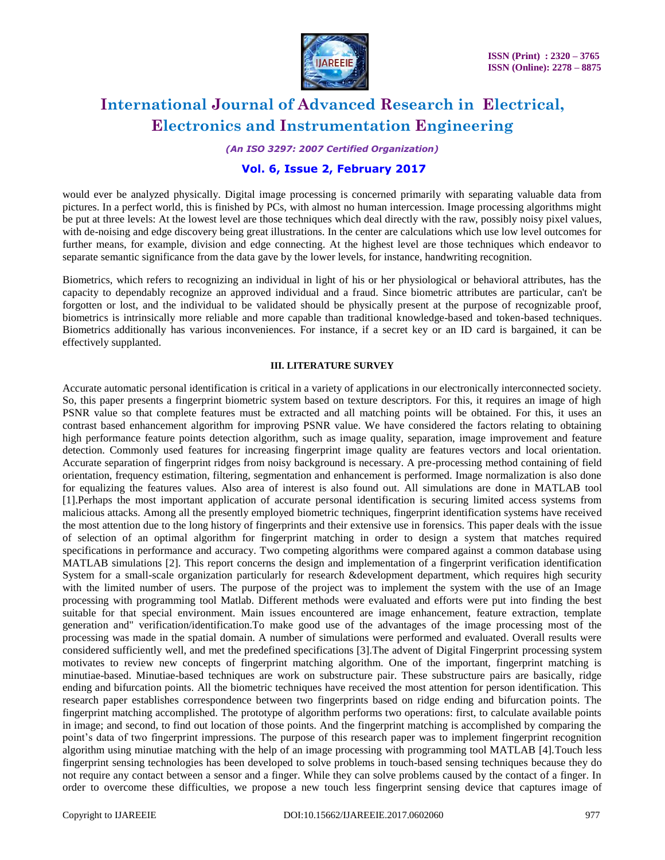

*(An ISO 3297: 2007 Certified Organization)*

## **Vol. 6, Issue 2, February 2017**

would ever be analyzed physically. Digital image processing is concerned primarily with separating valuable data from pictures. In a perfect world, this is finished by PCs, with almost no human intercession. Image processing algorithms might be put at three levels: At the lowest level are those techniques which deal directly with the raw, possibly noisy pixel values, with de-noising and edge discovery being great illustrations. In the center are calculations which use low level outcomes for further means, for example, division and edge connecting. At the highest level are those techniques which endeavor to separate semantic significance from the data gave by the lower levels, for instance, handwriting recognition.

Biometrics, which refers to recognizing an individual in light of his or her physiological or behavioral attributes, has the capacity to dependably recognize an approved individual and a fraud. Since biometric attributes are particular, can't be forgotten or lost, and the individual to be validated should be physically present at the purpose of recognizable proof, biometrics is intrinsically more reliable and more capable than traditional knowledge-based and token-based techniques. Biometrics additionally has various inconveniences. For instance, if a secret key or an ID card is bargained, it can be effectively supplanted.

#### **III. LITERATURE SURVEY**

Accurate automatic personal identification is critical in a variety of applications in our electronically interconnected society. So, this paper presents a fingerprint biometric system based on texture descriptors. For this, it requires an image of high PSNR value so that complete features must be extracted and all matching points will be obtained. For this, it uses an contrast based enhancement algorithm for improving PSNR value. We have considered the factors relating to obtaining high performance feature points detection algorithm, such as image quality, separation, image improvement and feature detection. Commonly used features for increasing fingerprint image quality are features vectors and local orientation. Accurate separation of fingerprint ridges from noisy background is necessary. A pre-processing method containing of field orientation, frequency estimation, filtering, segmentation and enhancement is performed. Image normalization is also done for equalizing the features values. Also area of interest is also found out. All simulations are done in MATLAB tool [1].Perhaps the most important application of accurate personal identification is securing limited access systems from malicious attacks. Among all the presently employed biometric techniques, fingerprint identification systems have received the most attention due to the long history of fingerprints and their extensive use in forensics. This paper deals with the issue of selection of an optimal algorithm for fingerprint matching in order to design a system that matches required specifications in performance and accuracy. Two competing algorithms were compared against a common database using MATLAB simulations [2]. This report concerns the design and implementation of a fingerprint verification identification System for a small-scale organization particularly for research &development department, which requires high security with the limited number of users. The purpose of the project was to implement the system with the use of an Image processing with programming tool Matlab. Different methods were evaluated and efforts were put into finding the best suitable for that special environment. Main issues encountered are image enhancement, feature extraction, template generation and" verification/identification.To make good use of the advantages of the image processing most of the processing was made in the spatial domain. A number of simulations were performed and evaluated. Overall results were considered sufficiently well, and met the predefined specifications [3].The advent of Digital Fingerprint processing system motivates to review new concepts of fingerprint matching algorithm. One of the important, fingerprint matching is minutiae-based. Minutiae-based techniques are work on substructure pair. These substructure pairs are basically, ridge ending and bifurcation points. All the biometric techniques have received the most attention for person identification. This research paper establishes correspondence between two fingerprints based on ridge ending and bifurcation points. The fingerprint matching accomplished. The prototype of algorithm performs two operations: first, to calculate available points in image; and second, to find out location of those points. And the fingerprint matching is accomplished by comparing the point's data of two fingerprint impressions. The purpose of this research paper was to implement fingerprint recognition algorithm using minutiae matching with the help of an image processing with programming tool MATLAB [4].Touch less fingerprint sensing technologies has been developed to solve problems in touch-based sensing techniques because they do not require any contact between a sensor and a finger. While they can solve problems caused by the contact of a finger. In order to overcome these difficulties, we propose a new touch less fingerprint sensing device that captures image of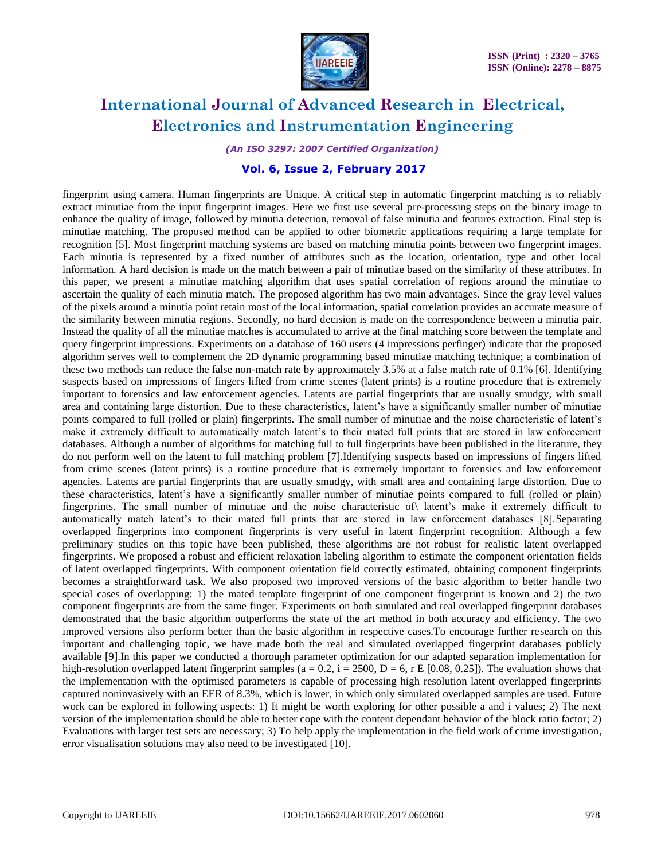

*(An ISO 3297: 2007 Certified Organization)*

## **Vol. 6, Issue 2, February 2017**

fingerprint using camera. Human fingerprints are Unique. A critical step in automatic fingerprint matching is to reliably extract minutiae from the input fingerprint images. Here we first use several pre-processing steps on the binary image to enhance the quality of image, followed by minutia detection, removal of false minutia and features extraction. Final step is minutiae matching. The proposed method can be applied to other biometric applications requiring a large template for recognition [5]. Most fingerprint matching systems are based on matching minutia points between two fingerprint images. Each minutia is represented by a fixed number of attributes such as the location, orientation, type and other local information. A hard decision is made on the match between a pair of minutiae based on the similarity of these attributes. In this paper, we present a minutiae matching algorithm that uses spatial correlation of regions around the minutiae to ascertain the quality of each minutia match. The proposed algorithm has two main advantages. Since the gray level values of the pixels around a minutia point retain most of the local information, spatial correlation provides an accurate measure of the similarity between minutia regions. Secondly, no hard decision is made on the correspondence between a minutia pair. Instead the quality of all the minutiae matches is accumulated to arrive at the final matching score between the template and query fingerprint impressions. Experiments on a database of 160 users (4 impressions perfinger) indicate that the proposed algorithm serves well to complement the 2D dynamic programming based minutiae matching technique; a combination of these two methods can reduce the false non-match rate by approximately 3.5% at a false match rate of 0.1% [6]. Identifying suspects based on impressions of fingers lifted from crime scenes (latent prints) is a routine procedure that is extremely important to forensics and law enforcement agencies. Latents are partial fingerprints that are usually smudgy, with small area and containing large distortion. Due to these characteristics, latent's have a significantly smaller number of minutiae points compared to full (rolled or plain) fingerprints. The small number of minutiae and the noise characteristic of latent's make it extremely difficult to automatically match latent's to their mated full prints that are stored in law enforcement databases. Although a number of algorithms for matching full to full fingerprints have been published in the literature, they do not perform well on the latent to full matching problem [7].Identifying suspects based on impressions of fingers lifted from crime scenes (latent prints) is a routine procedure that is extremely important to forensics and law enforcement agencies. Latents are partial fingerprints that are usually smudgy, with small area and containing large distortion. Due to these characteristics, latent's have a significantly smaller number of minutiae points compared to full (rolled or plain) fingerprints. The small number of minutiae and the noise characteristic of\ latent's make it extremely difficult to automatically match latent's to their mated full prints that are stored in law enforcement databases [8].Separating overlapped fingerprints into component fingerprints is very useful in latent fingerprint recognition. Although a few preliminary studies on this topic have been published, these algorithms are not robust for realistic latent overlapped fingerprints. We proposed a robust and efficient relaxation labeling algorithm to estimate the component orientation fields of latent overlapped fingerprints. With component orientation field correctly estimated, obtaining component fingerprints becomes a straightforward task. We also proposed two improved versions of the basic algorithm to better handle two special cases of overlapping: 1) the mated template fingerprint of one component fingerprint is known and 2) the two component fingerprints are from the same finger. Experiments on both simulated and real overlapped fingerprint databases demonstrated that the basic algorithm outperforms the state of the art method in both accuracy and efficiency. The two improved versions also perform better than the basic algorithm in respective cases.To encourage further research on this important and challenging topic, we have made both the real and simulated overlapped fingerprint databases publicly available [9].In this paper we conducted a thorough parameter optimization for our adapted separation implementation for high-resolution overlapped latent fingerprint samples (a = 0.2, i = 2500, D = 6, r E [0.08, 0.25]). The evaluation shows that the implementation with the optimised parameters is capable of processing high resolution latent overlapped fingerprints captured noninvasively with an EER of 8.3%, which is lower, in which only simulated overlapped samples are used. Future work can be explored in following aspects: 1) It might be worth exploring for other possible a and i values; 2) The next version of the implementation should be able to better cope with the content dependant behavior of the block ratio factor; 2) Evaluations with larger test sets are necessary; 3) To help apply the implementation in the field work of crime investigation, error visualisation solutions may also need to be investigated [10].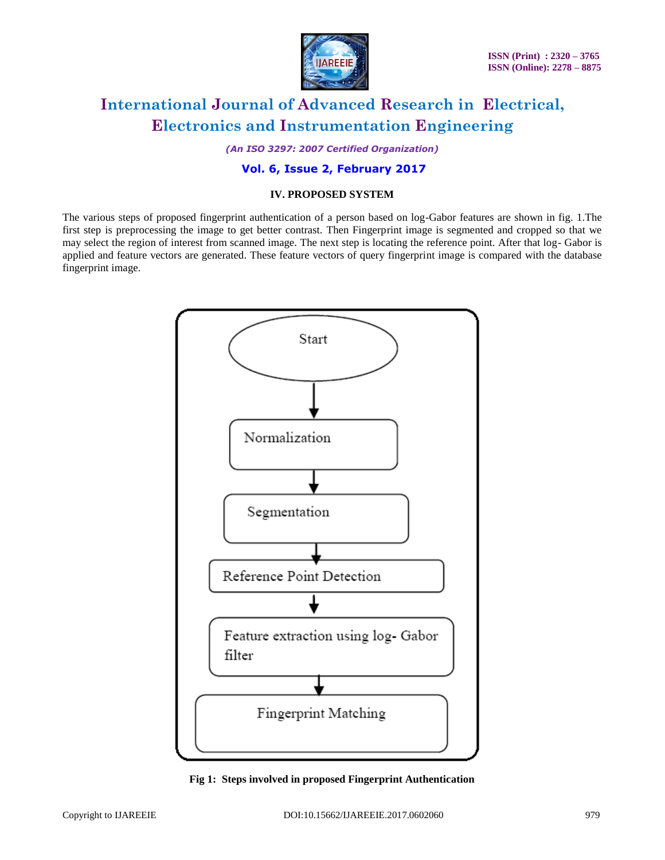

*(An ISO 3297: 2007 Certified Organization)*

## **Vol. 6, Issue 2, February 2017**

## **IV. PROPOSED SYSTEM**

The various steps of proposed fingerprint authentication of a person based on log-Gabor features are shown in fig. 1.The first step is preprocessing the image to get better contrast. Then Fingerprint image is segmented and cropped so that we may select the region of interest from scanned image. The next step is locating the reference point. After that log- Gabor is applied and feature vectors are generated. These feature vectors of query fingerprint image is compared with the database fingerprint image.



**Fig 1: Steps involved in proposed Fingerprint Authentication**